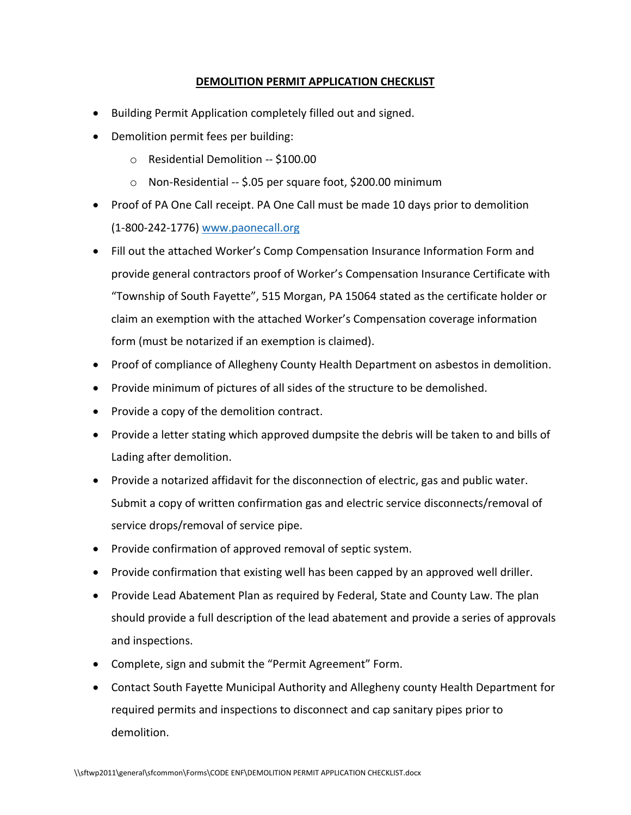#### **DEMOLITION PERMIT APPLICATION CHECKLIST**

- Building Permit Application completely filled out and signed.
- Demolition permit fees per building:
	- o Residential Demolition -- \$100.00
	- o Non-Residential -- \$.05 per square foot, \$200.00 minimum
- Proof of PA One Call receipt. PA One Call must be made 10 days prior to demolition (1-800-242-1776) [www.paonecall.org](http://www.paonecall.org/)
- Fill out the attached Worker's Comp Compensation Insurance Information Form and provide general contractors proof of Worker's Compensation Insurance Certificate with "Township of South Fayette", 515 Morgan, PA 15064 stated as the certificate holder or claim an exemption with the attached Worker's Compensation coverage information form (must be notarized if an exemption is claimed).
- Proof of compliance of Allegheny County Health Department on asbestos in demolition.
- Provide minimum of pictures of all sides of the structure to be demolished.
- Provide a copy of the demolition contract.
- Provide a letter stating which approved dumpsite the debris will be taken to and bills of Lading after demolition.
- Provide a notarized affidavit for the disconnection of electric, gas and public water. Submit a copy of written confirmation gas and electric service disconnects/removal of service drops/removal of service pipe.
- Provide confirmation of approved removal of septic system.
- Provide confirmation that existing well has been capped by an approved well driller.
- Provide Lead Abatement Plan as required by Federal, State and County Law. The plan should provide a full description of the lead abatement and provide a series of approvals and inspections.
- Complete, sign and submit the "Permit Agreement" Form.
- Contact South Fayette Municipal Authority and Allegheny county Health Department for required permits and inspections to disconnect and cap sanitary pipes prior to demolition.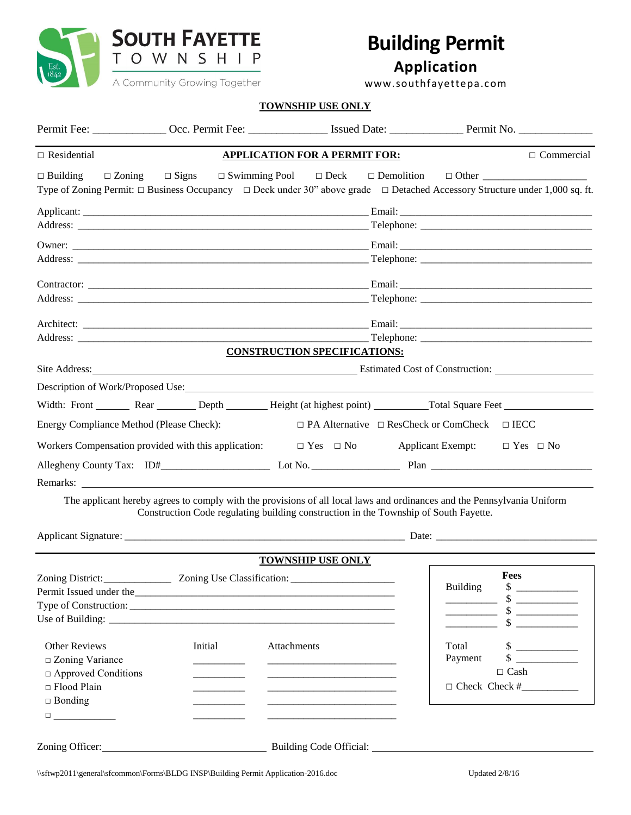

# **Building Permit**

**Application**

www.southfayettepa.com

| . Community orowing together |  |
|------------------------------|--|
|                              |  |

### **TOWNSHIP USE ONLY**

| $\Box$ Residential                                                                                                      |                                                      | <b>APPLICATION FOR A PERMIT FOR:</b>                                                                                                                                                                            |                                                   | $\Box$ Commercial                                                                                           |
|-------------------------------------------------------------------------------------------------------------------------|------------------------------------------------------|-----------------------------------------------------------------------------------------------------------------------------------------------------------------------------------------------------------------|---------------------------------------------------|-------------------------------------------------------------------------------------------------------------|
| $\Box$ Building<br>$\Box$ Zoning                                                                                        | $\Box$ Signs                                         | Type of Zoning Permit: $\Box$ Business Occupancy $\Box$ Deck under 30" above grade $\Box$ Detached Accessory Structure under 1,000 sq. ft.                                                                      |                                                   |                                                                                                             |
|                                                                                                                         |                                                      |                                                                                                                                                                                                                 |                                                   |                                                                                                             |
|                                                                                                                         |                                                      |                                                                                                                                                                                                                 |                                                   |                                                                                                             |
|                                                                                                                         |                                                      |                                                                                                                                                                                                                 |                                                   |                                                                                                             |
|                                                                                                                         |                                                      | <b>CONSTRUCTION SPECIFICATIONS:</b>                                                                                                                                                                             |                                                   |                                                                                                             |
|                                                                                                                         |                                                      |                                                                                                                                                                                                                 |                                                   |                                                                                                             |
|                                                                                                                         |                                                      |                                                                                                                                                                                                                 |                                                   |                                                                                                             |
|                                                                                                                         |                                                      | Width: Front Rear Depth Height (at highest point) Total Square Feet                                                                                                                                             |                                                   |                                                                                                             |
| Energy Compliance Method (Please Check):                                                                                |                                                      |                                                                                                                                                                                                                 | $\Box$ PA Alternative $\Box$ ResCheck or ComCheck | $\Box$ IECC                                                                                                 |
|                                                                                                                         | Workers Compensation provided with this application: | $\Box$ Yes $\Box$ No                                                                                                                                                                                            | <b>Applicant Exempt:</b>                          | $\Box$ Yes $\Box$ No                                                                                        |
|                                                                                                                         |                                                      |                                                                                                                                                                                                                 |                                                   |                                                                                                             |
|                                                                                                                         |                                                      |                                                                                                                                                                                                                 |                                                   |                                                                                                             |
|                                                                                                                         |                                                      | The applicant hereby agrees to comply with the provisions of all local laws and ordinances and the Pennsylvania Uniform<br>Construction Code regulating building construction in the Township of South Fayette. |                                                   |                                                                                                             |
|                                                                                                                         |                                                      |                                                                                                                                                                                                                 |                                                   |                                                                                                             |
|                                                                                                                         |                                                      | <b>TOWNSHIP USE ONLY</b>                                                                                                                                                                                        |                                                   |                                                                                                             |
| Zoning District:                                                                                                        | Zoning Use Classification:                           | Permit Issued under the                                                                                                                                                                                         | <b>Building</b>                                   | Fees<br>$\frac{\text{I}}{\text{I}}$<br>$\frac{\text{S}}{\text{S}}$<br>$\frac{\text{S}}{\text{S}}$<br>$\sim$ |
| <b>Other Reviews</b><br>$\square$ Zoning Variance<br>$\Box$ Approved Conditions<br>$\Box$ Flood Plain<br>$\Box$ Bonding | Initial                                              | Attachments<br><u> 1989 - Johann Barbara, martxa al III-lea (h. 1989).</u>                                                                                                                                      | Total<br>Payment                                  | $\frac{\text{S}}{\text{S}}$<br>$\frac{\text{S}}{\text{S}}$<br>$\Box$ Cash<br>$\Box$ Check Check # $\Box$    |
|                                                                                                                         |                                                      |                                                                                                                                                                                                                 |                                                   |                                                                                                             |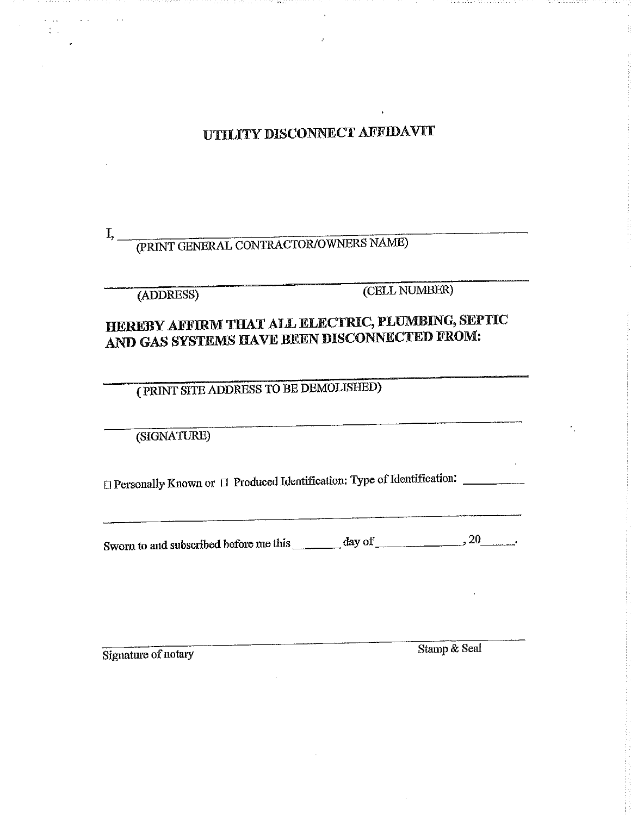UTILITY DISCONNECT AFFIDAVIT

#### (PRINT GENERAL CONTRACTOR/OWNERS NAME)  $I, \_$

(ADDRESS)

(CELL NUMBER)

## HEREBY AFFIRM THAT ALL ELECTRIC, PLUMBING, SEPTIC AND GAS SYSTEMS HAVE BEEN DISCONNECTED FROM:

(PRINT SITE ADDRESS TO BE DEMOLISHED)

(SIGNATURE)

□ Personally Known or □ Produced Identification: Type of Identification: \_\_\_\_\_\_\_\_

Sworn to and subscribed before me this  $\frac{1}{2}$  day of  $\frac{1}{2}$   $\frac{20}{2}$ .

Signature of notary

Stamp & Seal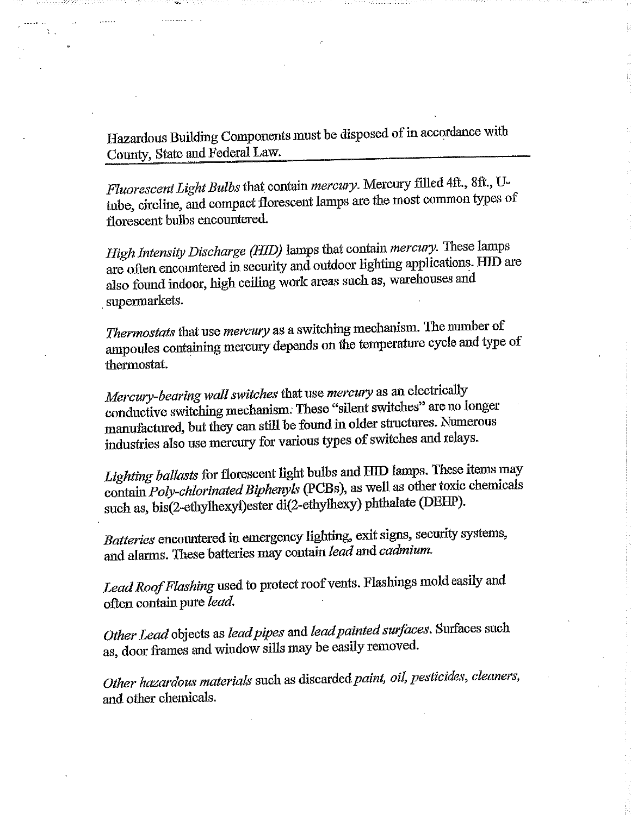Hazardous Building Components must be disposed of in accordance with County, State and Federal Law.

Fluorescent Light Bulbs that contain mercury. Mercury filled 4ft., 8ft., Utube, circline, and compact florescent lamps are the most common types of florescent bulbs encountered.

High Intensity Discharge (HID) lamps that contain mercury. These lamps are often encountered in security and outdoor lighting applications. HID are also found indoor, high ceiling work areas such as, warehouses and supermarkets.

Thermostats that use mercury as a switching mechanism. The number of ampoules containing mercury depends on the temperature cycle and type of thermostat.

Mercury-bearing wall switches that use mercury as an electrically conductive switching mechanism. These "silent switches" are no longer manufactured, but they can still be found in older structures. Numerous industries also use mercury for various types of switches and relays.

Lighting ballasts for florescent light bulbs and HID lamps. These items may contain Poly-chlorinated Biphenyls (PCBs), as well as other toxic chemicals such as, bis(2-ethylhexyl)ester di(2-ethylhexy) phthalate (DEHP).

Batteries encountered in emergency lighting, exit signs, security systems, and alarms. These batteries may contain lead and cadmium.

Lead Roof Flashing used to protect roof vents. Flashings mold easily and often contain pure lead.

Other Lead objects as lead pipes and lead painted surfaces. Surfaces such as, door frames and window sills may be easily removed.

Other hazardous materials such as discarded paint, oil, pesticides, cleaners, and other chemicals.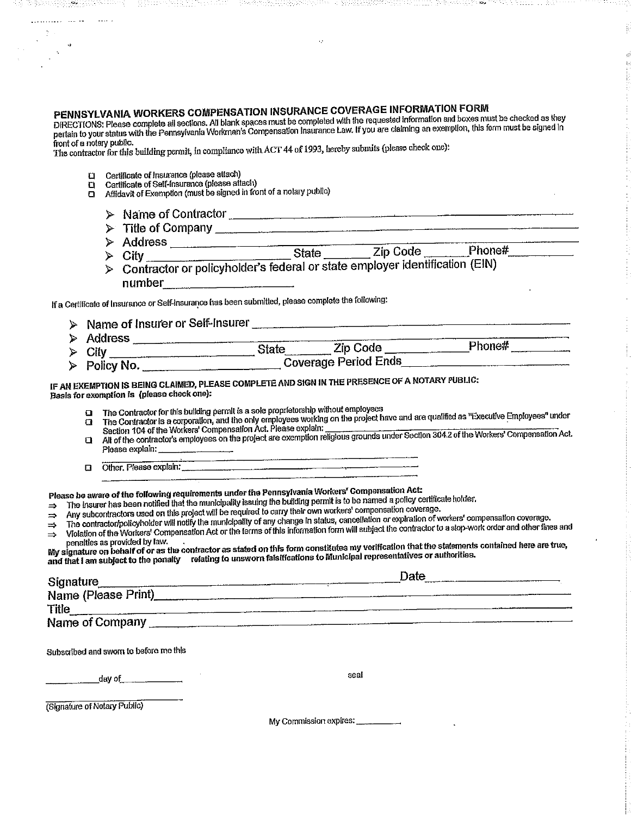## PENNSYLVANIA WORKERS COMPENSATION INSURANCE COVERAGE INFORMATION FORM

DIRECTIONS: Please complete all sections. All blank spaces must be completed with the requested information and boxes must be checked as they pertain to your status with the Pennsylvania Morkman's Compensation Insurance Law, if you are daiming an exemption, this form must be signed in pertain to your status with the Pennsylvania Workman's Compensation Insurance front of a notary public.

The contractor for this building permit, in compliance with ACT 44 of 1993, hereby submits (please check one):

- **El** Certificate of Insurance (please attach)
- $\Box$
- Certificate of moderator process answer<br>Certificate of Self-Insurance (please attach)<br>Affidavit of Exemption (must be signed in front of a notary public)
	- > Name of Contractor
	- Address <br>
	> City<br>
	City
	- Contractor or policyholder's federal or state employer identification (EIN)

If a Certificate of Insurance or Self-Insurance has been submitted, please complete the following:

- > Name of Insurer or Self-Insurer Address State Zip Code Phone#
- Policy No.

#### IF AN EXEMPTION IS BEING CLAIMED, PLEASE COMPLETE AND SIGN IN THE PRESENCE OF A NOTARY PUBLIC: Basis for exemption is (please check one):

- The Contractor for this building permit is a sole proprietorship without employees
- The Contractor is a corporation, and the only employees working on the project have and are qualified as "Executive Employees" under<br>Section 104 of the Workers' Compensation Act. Please explain:  $\Box$
- oecaen 104 or are invincial compensation run, mease explain.<br>All of the contractor's employees on the project are exemption religious grounds under Section 304.2 of the Workers' Compensation Act.  $\mathbf{a}$ Please explain:
- Other, Please explain:  $\overline{a}$

Please be aware of the following requirements under the Pennsylvania Workers' Compensation Act:

The insurer has been notified that the municipality issuing the building permit is to be named a policy certificate holder.  $\Rightarrow$ 

- Any subcontractors used on this project will be required to carry their own workers' compensation coverage.  $\Rightarrow$ 
	- The contractor/policyholder will notify the municipality of any change in status, cancellation or expiration of workers' compensation coverage.
- Violation of the Workers' Compensation Act or the ferms of this information form will subject the contractor to a stop-work order and other fines and  $\Rightarrow$  $\Rightarrow$ penalties as provided by law.

pondition of pressure of particles in the contractor as stated on this form constitutes my verification that the statements contained here are true, and that I am subject to the penalty relating to unsworn falsifications to Municipal representatives or authorities.

| <b>Signature</b>                       | Date |
|----------------------------------------|------|
| Name (Please Print)                    |      |
| Title                                  |      |
| Name of Company                        |      |
|                                        |      |
| Subscribed and sworn to before me this |      |

day of

seal

(Signature of Notary Public)

My Commission expires: \_\_\_\_\_\_\_\_\_\_